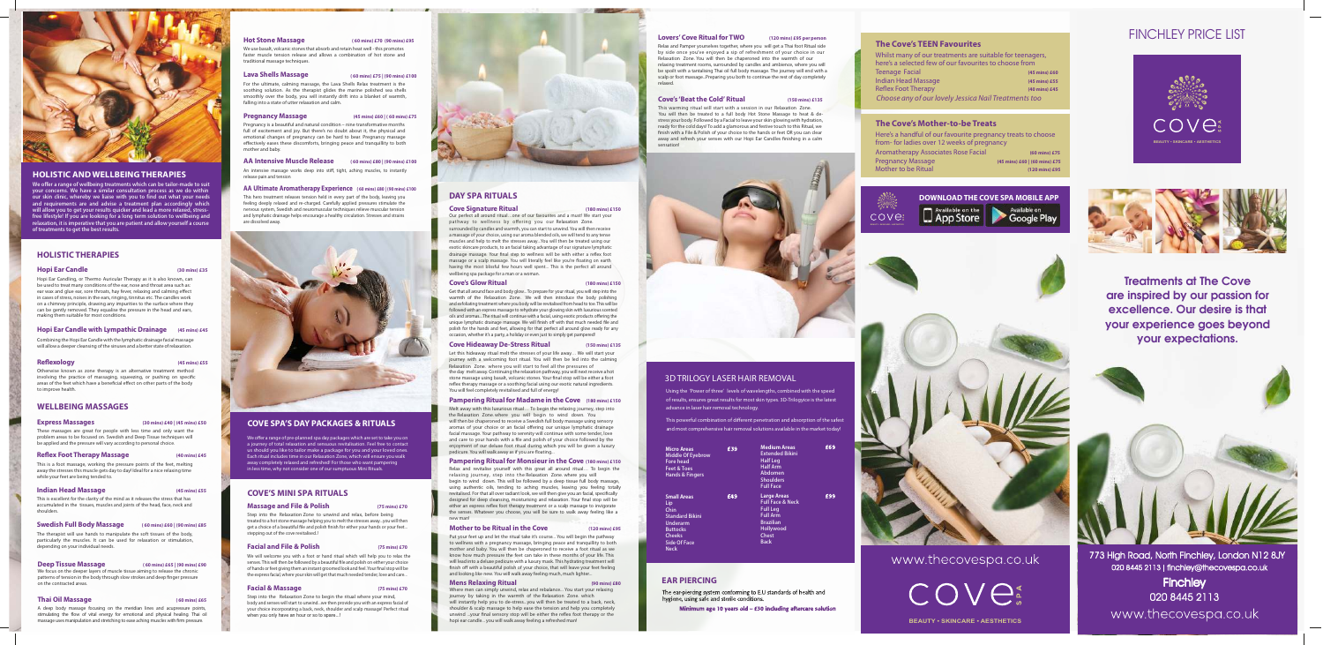



Treatments at The Cove are inspired by our passion for excellence. Our desire is that your experience goes beyond your expectations.



# FINCHLEY PRICE LIST

773 High Road, North Finchley, London N12 8JY 020 8445 2113 finchley@thecovespa.co.uk

**Finchley** 020 8445 2113 www.thecovespa.co.uk

#### **BEAUTY • SKINCARE • AESTHETICS**

# **HOLISTIC THERAPIES**

#### **Hopi Ear Candle (30 mins) £35**

Hopi Ear Candling, or Thermo Auricular Therapy as it is also known, can be used to treat many conditions of the ear, nose and throat area such as: ear wax and glue ear, sore throats, hay fever, relaxing and calming effect in cases of stress, noises in the ears, ringing, tinnitus etc. The candles work on a chimney principle, drawing any impurities to the surface where they can be gently removed. They equalise the pressure in the head and ears, making them suitable for most conditions.

#### **Hopi Ear Candle with Lympathic Drainage (45 mins) £45**

Combining the Hopi Ear Candle with the lymphatic drainage facial massage will allow a deeper cleansing of the sinuses and a better state of relaxation.

**Reflexology** (45 mins) £55

The therapist will use hands to manipulate the soft tissues of the body, particularly the muscles. It can be used for relaxation or stimulation, .<br>depending on your individual needs.

Otherwise known as zone therapy is an alternative treatment method involving the practice of massaging, squeezing, or pushing on specific areas of the feet which have a beneficial effect on other parts of the body to improve health.

We focus on the deeper layers of muscle tissue aiming to release the chronic patterns of tension in the body through slow strokes and deep finger pressure on the contracted areas.

A deep body massage focusing on the meridian lines and acupressure points, stimulating the flow of vital energy for emotional and physical healing. Thai oil massage uses manipulation and stretching to ease aching muscles with firm pressure.

# **WELLBEING MASSAGES**

#### **Express Massages (30 mins) £40 | (45 mins) £50**

These massages are great for people with less time and only want the

We use basalt, volcanic stones that absorb and retain heat well - this promotes faster muscle tension release and allows a combination of hot stone and traditional massage techniques.

problem areas to be focused on. Swedish and Deep Tissue techniques will be applied and the pressure will vary according to personal choice.

#### **Reflex Foot Therapy Massage** (40 mins) £45

This is a foot massage, working the pressure points of the feet, melting away the stresses this muscle gets day to day! Ideal for a nice relaxing time while your feet are being tended to.

## **Indian Head Massage (45 mins) £55**

This is excellent for the clarity of the mind as it releases the stress that has accumulated in the tissues, muscles and joints of the head, face, neck and shoulders.

## **Swedish Full Body Massage ( 60 mins) £60 | (90 mins) £85**

## **Deep Tissue Massage ( 60 mins) £65 | (90 mins) £90**

## **Thai Oil Massage ( 60 mins) £65**

Using the 'Power of three' levels of wavelengths, combined with the speed of results, ensures great results for most skin types. 3D-Trilogyice is the latest advance in laser hair removal technology.

This powerful combination of different penetration and absorption of the safes and most comprehensive hair removal solutions available in the market today!

#### **Hot Stone Massage ( 60 mins) £70 (90 mins) £95**

#### **Lava Shells Massage ( 60 mins) £75 | (90 mins) £100**

For the ultimate, calming massage, the Lava Shells Relax treatment is the soothing solution. As the therapist glides the marine polished sea shells smoothly over the body, you will instantly drift into a blanket of warmth, falling into a state of utter relaxation and calm.

#### **Pregnancy Massage (45 mins) £60 | ( 60 mins) £75**

Pregnancy is a beautiful and natural condition – nine transformative months full of excitement and joy. But there's no doubt about it, the physical and emotional changes of pregnancy can be hard to bear. Pregnancy massage effectively eases these discomforts, bringing peace and tranquillity to both mother and baby.

#### **AA Intensive Muscle Release ( 60 mins) £80 | (90 mins) £100**

An intensive massage works deep into stiff, tight, aching muscles, to instantly release pain and tension

#### AA Ultimate Aromatherapy Experience (60 mins) £80 | (90 mins) £100

This hero treatment releases tension held in every part of the body, leaving you feeling deeply relaxed and re-charged. Carefully applied pressures stimulate the nervous system, Swedish and neuromuscular techniques relieve muscular tension and lymphatic drainage helps encourage a healthy circulation. Stresses and strains are dissolved away.



# **DAY SPA RITUALS**

#### **Cove Signature Ritual (180 mins) £150**

#### **Cove's Glow Ritual (180 mins) £150**

# **Cove Hideaway De-Stress Ritual (150 mins) £135**

#### **Pampering Ritual for Madame in the Cove (180 mins) £150**

#### **Motherto be Ritual in the Cove (120 mins) £95**

# **Mens Relaxing Ritual (90 mins) £80**

#### **Lovers' Cove Ritual forTWO (120 mins) £95 per person**

#### **Cove's 'Beat the Cold' Ritual (150 mins) £135**

| <b>Micro Areas</b><br><b>Middle Of Eyebrow</b><br><b>Fore head</b><br><b>Feet &amp; Toes</b><br><b>Hands &amp; Fingers</b>                        | £39 | <b>Medium Areas</b><br><b>Extended Bikini</b><br><b>Half Leg</b><br><b>Half Arm</b><br>Abdomen<br><b>Shoulders</b><br><b>Full Face</b>           | £69 |
|---------------------------------------------------------------------------------------------------------------------------------------------------|-----|--------------------------------------------------------------------------------------------------------------------------------------------------|-----|
| <b>Small Areas</b><br>Lip<br>Chin<br><b>Standard Bikini</b><br>Underarm<br><b>Buttocks</b><br><b>Cheeks</b><br><b>Side Of Face</b><br><b>Neck</b> | £49 | <b>Large Areas</b><br><b>Full Face &amp; Neck</b><br><b>Full Leg</b><br><b>Full Arm</b><br><b>Brazilian</b><br>Hollywood<br>Chest<br><b>Back</b> | £99 |

facial massage. Your pathway to serenity will continue with some tender, love and care to your hands with a file and polish of your choice followed by the enjoyment of our deluxe foot ritual during which you will be given a luxury pedicure. You will walk away as if you are floating...

# 3D TRILOGY LASER HAIR REMOVAL

# **EAR PIERCING**

The ear-piercing system conforming to E.U standards of health and hygiene, using safe and sterile conditions.

Where men can simply unwind, relax and rebalance... You start your relaxing journey by taking in the warmth of the Relaxation Zone. which will instantly help you to de-stress...you will then be treated to a back, neck, shoulder  $\&$  scalp massage to help ease the tension and help you completely unwind ...your final sensory stop will be either the reflex foot therapy or the

Minimum age 10 years old - £30 including aftercare solution

# **The Cove's TEEN Favourites**

# **The Cove's Mother-to-be Treats**

| Here's a handful of our favourite pregnancy treats to choose |                               |
|--------------------------------------------------------------|-------------------------------|
| from-for ladies over 12 weeks of pregnancy                   |                               |
| <b>Aromatherapy Associates Rose Facial</b>                   | (60 mins) £75                 |
| <b>Pregnancy Massage</b>                                     | (45 mins) £60   (60 mins) £75 |
| <b>Mother to be Ritual</b>                                   | (120 mins) £95                |
|                                                              |                               |

| Whilst many of our treatments are suitable for teenagers, |               |
|-----------------------------------------------------------|---------------|
| here's a selected few of our favourites to choose from    |               |
| Teenage Facial                                            | (45 mins) £60 |
| <b>Indian Head Massage</b>                                | (45 mins) £55 |
| <b>Reflex Foot Therapy</b>                                | (40 mins) £45 |
| Choose any of our lovely Jessica Nail Treatments too      |               |

## **Pampering Ritual for Monsieur in the Cove (180 mins) £150**





www.thecovespa.co.uk

 $\bigcap\bigcup\bigcup\limits_{\alpha}^{\alpha}$ 



# **HOLISTIC AND WELLBEINGTHERAPIES**

We offer a range of wellbeing treatments which can be tailor-made to suit **your concerns. Wehave a similar consultationprocess as we do within our skin clinic, whereby we liaise with youtofind out what yourneeds and requirements are and advise a treatment plan accordingly which** will allow you to get your results quicker and lead a more relaxed, stressfree lifestyle! If you are looking for a long term solution to wellbeing and **relaxation,itisimperativethatyouarepatientandallowyourselfacourse of treatments to get the best results.** 

> Step into the Relaxation Zone to begin the ritual where your mind, body and senses will start to unwind...we then provide you with an express facial of your choice incorporating a back, neck, shoulder and scalp massage! Perfect ritual when you only have an hour or so to spare...!



# **COVE SPA'S DAY PACKAGES & RITUALS**

We offer a range of pre-planned spa day packages which are set to take you on a journey of total relaxation and sensuous revitalisation. Feel free to contact us should you like to tailor make a package for you and your loved ones Each ritual includes time in our Relaxation Zone, which will ensure you walk away completely relaxed and refreshed! For those who want pampering in less time, why not consider one of our sumptuous Mini Rituals.

> Put your feet up and let the ritual take it's course... You will begin the pathway to wellness with a pregnancy massage, bringing peace and tranquillity to both mother and baby. You will then be chaperoned to receive a foot ritual as we know how much pressure the feet can take in these months of your life. This will lead into a deluxe pedicure with a luxury mask. This hydrating treatment will nish off with a beautiful polish of your choice, that will leave your feet feeling and looking like new. You will walk away feeling much, much lighter...

Our perfect all around ritual…one of our favourites and a must! We start your pathway to wellness by offering you our Relaxation Zone. surrounded by candles and warmth, you can start to unwind. You will then receive a massage of your choice, using our aroma blended oils, we will tend to any tense muscles and help to melt the stresses away...You will then be treated using our exotic skincare products, to an facial taking advantage of our signature lymphatic drainage massage. Your final step to wellness will be with either a reflex foot massage or a scalp massage. You will literally feel like you're floating on earth having the most blissful few hours well spent... This is the perfect all around wellbeing spa package for a man or a woman.

Get that all around face and body glow... To prepare for your ritual, you will step into the warmth of the Relaxation Zone. We will then introduce the body polishing and exfoliating treatment where you body will be revitalised from head to toe. This will be followed with an express massage to rehydrate your glowing skin with luxurious scented oils and aromas....The ritual will continue with a facial, using exotic products offering the unique lymphatic drainage massage. We will finish off with that much needed file and polish for the hands and feet, allowing for that perfect all around glow ready for any occasion, whether it's a party, a holiday or even just to simply get pampered!

Let this hideaway ritual melt the stresses of your life away… We will start your journey with a welcoming foot ritual. You will then be led into the calming Relaxation Zone. where you will start to feel all the pressures of the day melt away. Continuing the relaxation pathway, you will next receive a hot stone massage using basalt, volcanic stones. Your final stop will be either a foot reflex therapy massage or a soothing facial using our exotic natural ingredients. You will feel completely revitalised and full of energy!

Melt away with this luxurious ritual… To begin the relaxing journey, step into the Relaxation Zone where you will begin to wind down. You will then be chaperoned to receive a Swedish full body massage using sensory aromas of your choice or an facial offering our unique lymphatic drainage

Relax and revitalise yourself with this great all around ritual… To begin the relaxing journey, step into the Relaxation Zone. where you will begin to wind down. This will be followed by a deep tissue full body massage, using authentic oils, tending to aching muscles, leaving you feeling totally revitalised. For that all over radiant look, we will then give you an facial, specifically designed for deep cleansing, moisturising and relaxation. Your final stop will be either an express reflex foot therapy treatment or a scalp massage to invigorate the senses. Whatever you choose, you will be sure to walk away feeling like a new man!

hopi ear candle... you will walk away feeling a refreshed man!

Relax and Pamper yourselves together, where you will get a Thai foot Ritual side by side once you've enjoyed a sip of refreshment of your choice in our Relaxation Zone. You will then be chaperoned into the warmth of our relaxing treatment rooms, surrounded by candles and ambience, where you will be spoilt with a tantalising Thai oil full body massage. The journey will end with a scalp or foot massage...Preparing you both to continue the rest of day completely relaxed.

This warming ritual will start with a session in our Relaxation Zone. You will then be treated to a full body Hot Stone Massage to heat & destress your body. Followed by a Facial to leave your skin glowing with hydration, ready for the cold days! To add a glamorous and festive touch to this Ritual, we finish with a File & Polish of your choice to the hands or feet OR you can clear away and refresh your senses with our Hopi Ear Candles finishing in a calm sensation!



## **COVE'S MINI SPA RITUALS**

#### **Massage and File & Polish (75 mins) £70**

Step into the Relaxation Zone to unwind and relax, before being treated to a hot stone massage helping you to melt the stresses away...you will then get a choice of a beautiful file and polish finish for either your hands or your feet... stepping out of the cove revitalised..!

#### **Facial and File & Polish (75 mins) £70**

We will welcome you with a foot or hand ritual which will help you to relax the senses. This will then be followed by a beautiful le and polish on either your choice of hands or feet giving them an instant groomed look and feel. Your final stop will be the express facial, where your skin will get that much needed tender, love and care...

#### **Facial & Massage**

**(75 mins) £70**